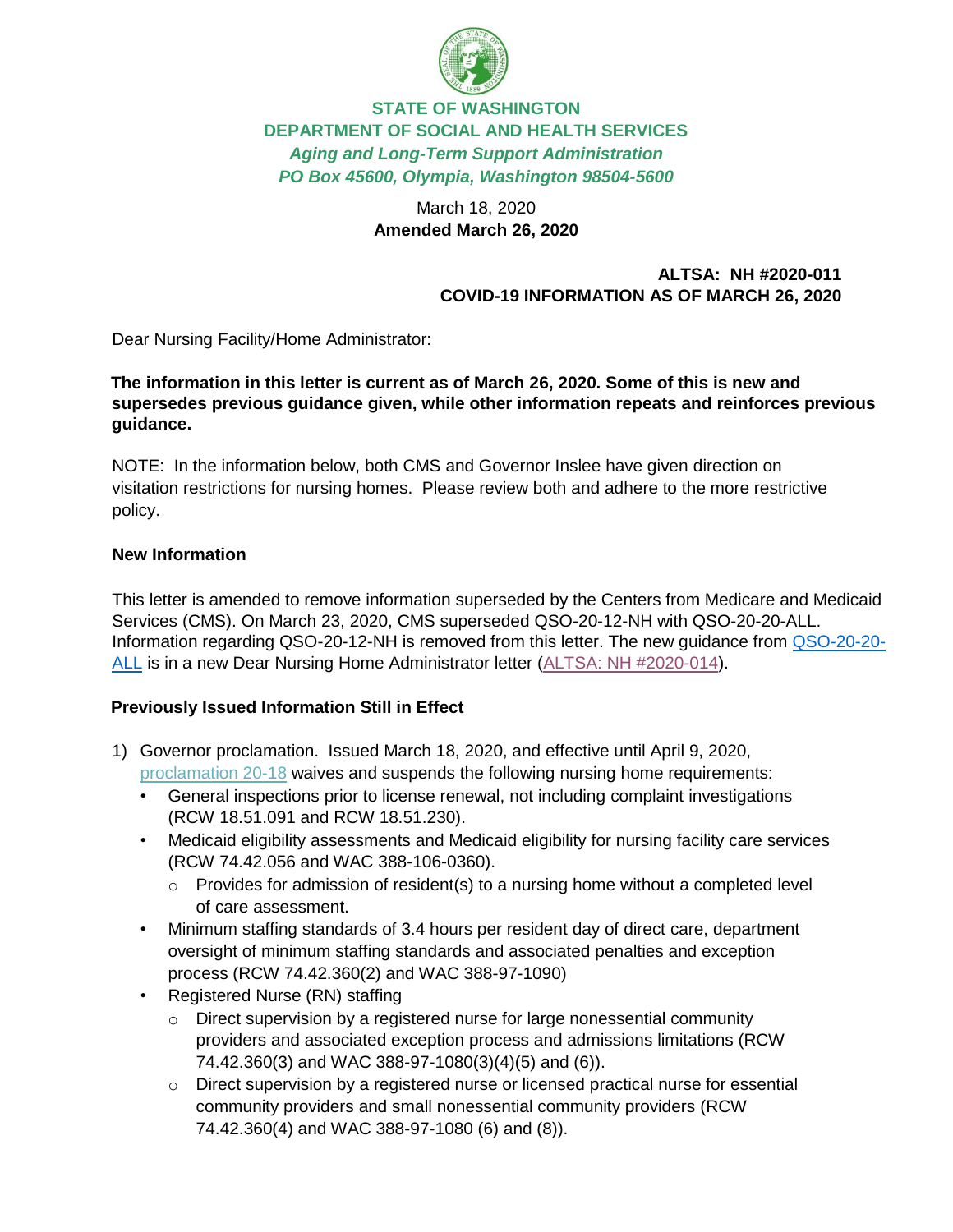

# **STATE OF WASHINGTON DEPARTMENT OF SOCIAL AND HEALTH SERVICES** *Aging and Long-Term Support Administration PO Box 45600, Olympia, Washington 98504-5600*

## March 18, 2020 **Amended March 26, 2020**

### **ALTSA: NH #2020-011 COVID-19 INFORMATION AS OF MARCH 26, 2020**

Dear Nursing Facility/Home Administrator:

### **The information in this letter is current as of March 26, 2020. Some of this is new and supersedes previous guidance given, while other information repeats and reinforces previous guidance.**

NOTE: In the information below, both CMS and Governor Inslee have given direction on visitation restrictions for nursing homes. Please review both and adhere to the more restrictive policy.

### **New Information**

This letter is amended to remove information superseded by the Centers from Medicare and Medicaid Services (CMS). On March 23, 2020, CMS superseded QSO-20-12-NH with QSO-20-20-ALL. Information regarding QSO-20-12-NH is removed from this letter. The new guidance from [QSO-20-20-](https://www.cms.gov/files/document/qso-20-20-allpdf.pdf-0) [ALL](https://www.cms.gov/files/document/qso-20-20-allpdf.pdf-0) is in a new Dear Nursing Home Administrator letter [\(ALTSA: NH #2020-014\)](https://www.dshs.wa.gov/sites/default/files/ALTSA/rcs/documents/nh/020-014.pdf).

### **Previously Issued Information Still in Effect**

- 1) Governor proclamation. Issued March 18, 2020, and effective until April 9, 2020, [proclamation](https://www.governor.wa.gov/sites/default/files/proclamations/20-18%20-%20COVID-19%20-%20DSHS%20Waivers%20%28tmp%29.pdf) [20-18](https://www.governor.wa.gov/sites/default/files/proclamations/20-18%20-%20COVID-19%20-%20DSHS%20Waivers%20%28tmp%29.pdf) waives and suspends the following nursing home requirements:
	- General inspections prior to license renewal, not including complaint investigations (RCW 18.51.091 and RCW 18.51.230).
	- Medicaid eligibility assessments and Medicaid eligibility for nursing facility care services (RCW 74.42.056 and WAC 388-106-0360).
		- $\circ$  Provides for admission of resident(s) to a nursing home without a completed level of care assessment.
	- Minimum staffing standards of 3.4 hours per resident day of direct care, department oversight of minimum staffing standards and associated penalties and exception process (RCW 74.42.360(2) and WAC 388-97-1090)
	- Registered Nurse (RN) staffing
		- o Direct supervision by a registered nurse for large nonessential community providers and associated exception process and admissions limitations (RCW 74.42.360(3) and WAC 388-97-1080(3)(4)(5) and (6)).
		- $\circ$  Direct supervision by a registered nurse or licensed practical nurse for essential community providers and small nonessential community providers (RCW 74.42.360(4) and WAC 388-97-1080 (6) and (8)).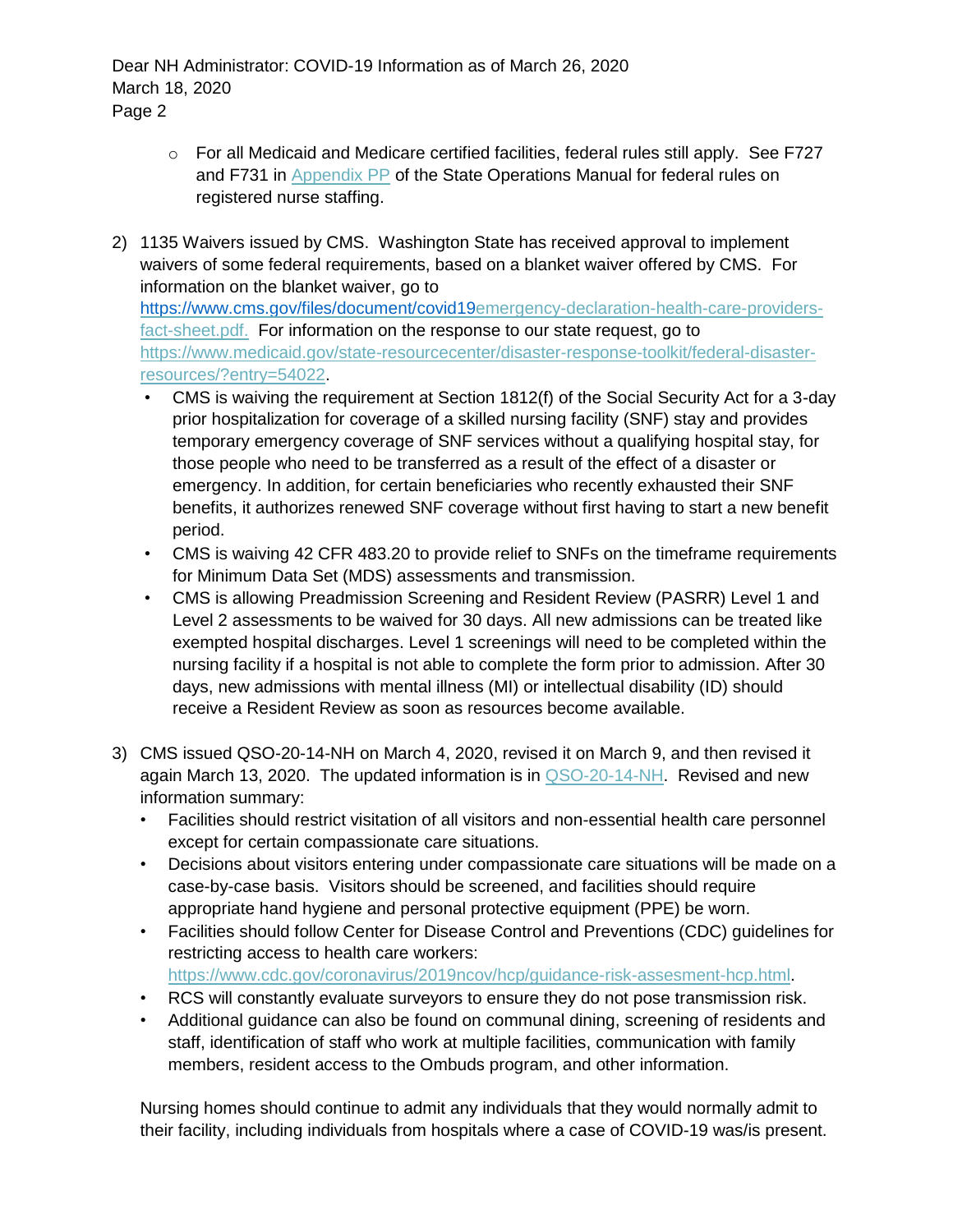- o For all Medicaid and Medicare certified facilities, federal rules still apply. See F727 and F731 in [Appendix PP](https://www.cms.gov/Medicare/Provider-Enrollment-and-Certification/GuidanceforLawsAndRegulations/Downloads/Appendix-PP-State-Operations-Manual.pdf) of the State Operations Manual for federal rules on registered nurse staffing.
- 2) 1135 Waivers issued by CMS. Washington State has received approval to implement waivers of some federal requirements, based on a blanket waiver offered by CMS. For information on the blanket waiver, go to <https://www.cms.gov/files/document/covid19>[emergency-declaration-health-care-providers](https://www.cms.gov/files/document/covid19-emergency-declaration-health-care-providers-fact-sheet.pdf)[fact-sheet.pdf.](https://www.cms.gov/files/document/covid19-emergency-declaration-health-care-providers-fact-sheet.pdf) For information on the response to our state request, go to [https://www.medicaid.gov/state-resourcecenter/disaster-response-toolkit/federal-disaster](https://www.medicaid.gov/state-resource-center/disaster-response-toolkit/federal-disaster-resources/?entry=54022)[resources/?entry=54022.](https://www.medicaid.gov/state-resource-center/disaster-response-toolkit/federal-disaster-resources/?entry=54022)
	- CMS is waiving the requirement at Section 1812(f) of the Social Security Act for a 3-day prior hospitalization for coverage of a skilled nursing facility (SNF) stay and provides temporary emergency coverage of SNF services without a qualifying hospital stay, for those people who need to be transferred as a result of the effect of a disaster or emergency. In addition, for certain beneficiaries who recently exhausted their SNF benefits, it authorizes renewed SNF coverage without first having to start a new benefit period.
	- CMS is waiving 42 CFR 483.20 to provide relief to SNFs on the timeframe requirements for Minimum Data Set (MDS) assessments and transmission.
	- CMS is allowing Preadmission Screening and Resident Review (PASRR) Level 1 and Level 2 assessments to be waived for 30 days. All new admissions can be treated like exempted hospital discharges. Level 1 screenings will need to be completed within the nursing facility if a hospital is not able to complete the form prior to admission. After 30 days, new admissions with mental illness (MI) or intellectual disability (ID) should receive a Resident Review as soon as resources become available.
- 3) CMS issued QSO-20-14-NH on March 4, 2020, revised it on March 9, and then revised it again March 13, 2020. The updated information is in [QSO-20-14-NH.](https://www.cms.gov/files/document/qso-20-14-nh-revised.pdf) Revised and new information summary:
	- Facilities should restrict visitation of all visitors and non-essential health care personnel except for certain compassionate care situations.
	- Decisions about visitors entering under compassionate care situations will be made on a case-by-case basis. Visitors should be screened, and facilities should require appropriate hand hygiene and personal protective equipment (PPE) be worn.
	- Facilities should follow Center for Disease Control and Preventions (CDC) guidelines for restricting access to health care workers: [https://www.cdc.gov/coronavirus/2019ncov/hcp/guidance-risk-assesment-hcp.html.](https://www.cdc.gov/coronavirus/2019-ncov/hcp/guidance-risk-assesment-hcp.html)
	- RCS will constantly evaluate surveyors to ensure they do not pose transmission risk.
	- Additional guidance can also be found on communal dining, screening of residents and staff, identification of staff who work at multiple facilities, communication with family members, resident access to the Ombuds program, and other information.

Nursing homes should continue to admit any individuals that they would normally admit to their facility, including individuals from hospitals where a case of COVID-19 was/is present.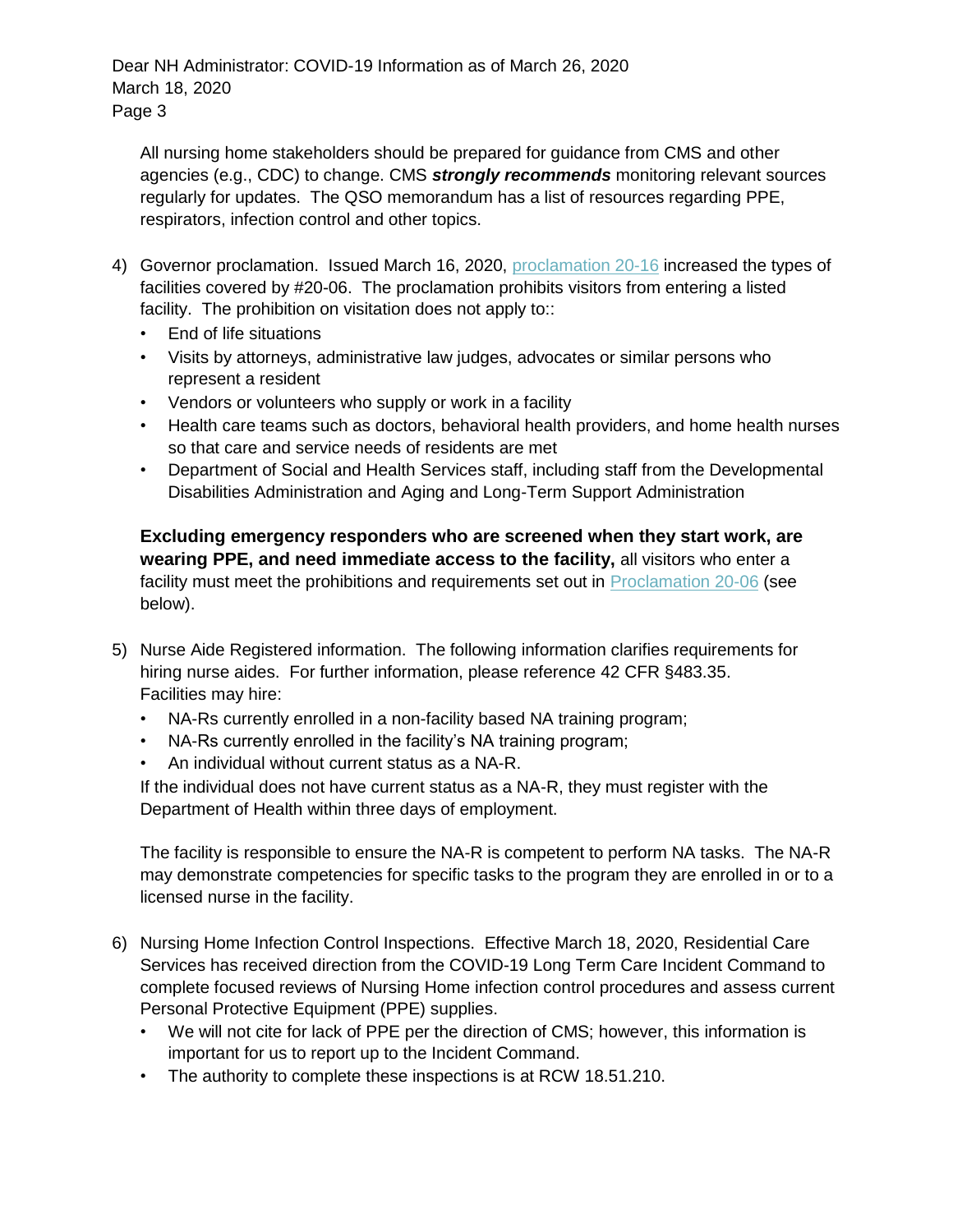All nursing home stakeholders should be prepared for guidance from CMS and other agencies (e.g., CDC) to change. CMS *strongly recommends* monitoring relevant sources regularly for updates. The QSO memorandum has a list of resources regarding PPE, respirators, infection control and other topics.

- 4) Governor proclamation. Issued March 16, 2020, [proclamation 20-16](https://www.governor.wa.gov/sites/default/files/proclamations/20-16%20Coronavirus%20No%20visitors%20LTC%20%28tmp%29.pdf) increased the types of facilities covered by #20-06. The proclamation prohibits visitors from entering a listed facility. The prohibition on visitation does not apply to::
	- End of life situations
	- Visits by attorneys, administrative law judges, advocates or similar persons who represent a resident
	- Vendors or volunteers who supply or work in a facility
	- Health care teams such as doctors, behavioral health providers, and home health nurses so that care and service needs of residents are met
	- Department of Social and Health Services staff, including staff from the Developmental Disabilities Administration and Aging and Long-Term Support Administration

**Excluding emergency responders who are screened when they start work, are wearing PPE, and need immediate access to the facility,** all visitors who enter a facility must meet the prohibitions and requirements set out in [Proclamation 20-06](https://www.governor.wa.gov/sites/default/files/proclamations/20-06%20Coronavirus%20%28tmp%29.pdf) (see below).

- 5) Nurse Aide Registered information. The following information clarifies requirements for hiring nurse aides. For further information, please reference [42 CFR §483.35.](https://www.ecfr.gov/cgi-bin/text-idx?rgn=div5&node=42:5.0.1.1.2) Facilities may hire:
	- NA-Rs currently enrolled in a non-facility based NA training program;
	- NA-Rs currently enrolled in the facility's NA training program;
	- An individual without current status as a NA-R.

If the individual does not have current status as a NA-R, they must register with the Department of Health within three days of employment.

The facility is responsible to ensure the NA-R is competent to perform NA tasks. The NA-R may demonstrate competencies for specific tasks to the program they are enrolled in or to a licensed nurse in the facility.

- 6) Nursing Home Infection Control Inspections. Effective March 18, 2020, Residential Care Services has received direction from the COVID-19 Long Term Care Incident Command to complete focused reviews of Nursing Home infection control procedures and assess current Personal Protective Equipment (PPE) supplies.
	- We will not cite for lack of PPE per the direction of CMS; however, this information is important for us to report up to the Incident Command.
	- The authority to complete these inspections is at RCW 18.51.210.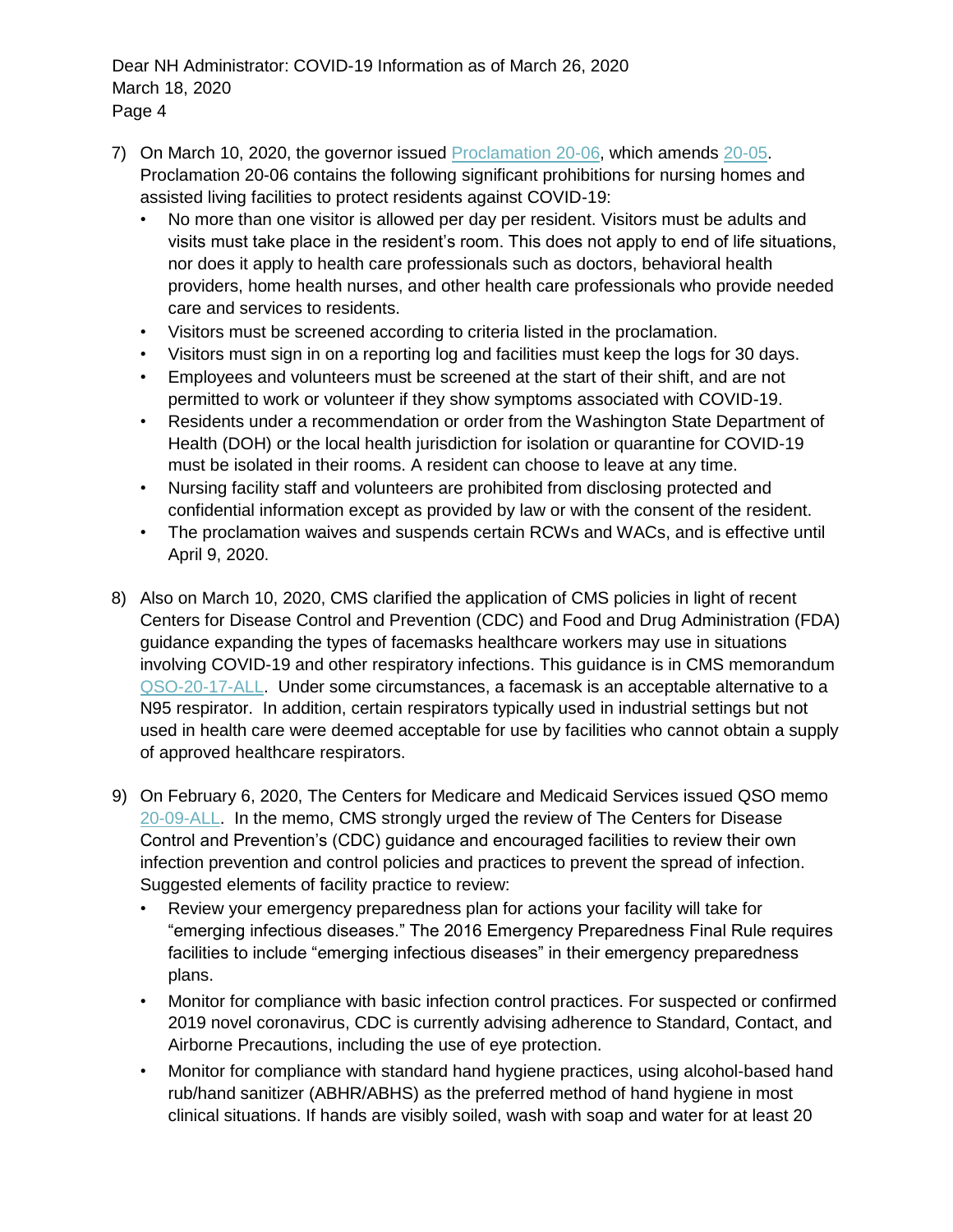- 7) On March 10, 2020, the governor issued [Proclamation 20-06,](https://www.governor.wa.gov/sites/default/files/proclamations/20-06%20Coronavirus%20%28tmp%29.pdf) which amends [20-05.](https://www.governor.wa.gov/sites/default/files/proclamations/20-05%20Coronavirus%20%28final%29.pdf)  Proclamation 20-06 contains the following significant prohibitions for nursing homes and assisted living facilities to protect residents against COVID-19:
	- No more than one visitor is allowed per day per resident. Visitors must be adults and visits must take place in the resident's room. This does not apply to end of life situations, nor does it apply to health care professionals such as doctors, behavioral health providers, home health nurses, and other health care professionals who provide needed care and services to residents.
	- Visitors must be screened according to criteria listed in the proclamation.
	- Visitors must sign in on a reporting log and facilities must keep the logs for 30 days.
	- Employees and volunteers must be screened at the start of their shift, and are not permitted to work or volunteer if they show symptoms associated with COVID-19.
	- Residents under a recommendation or order from the Washington State Department of Health (DOH) or the local health jurisdiction for isolation or quarantine for COVID-19 must be isolated in their rooms. A resident can choose to leave at any time.
	- Nursing facility staff and volunteers are prohibited from disclosing protected and confidential information except as provided by law or with the consent of the resident.
	- The proclamation waives and suspends certain RCWs and WACs, and is effective until April 9, 2020.
- 8) Also on March 10, 2020, CMS clarified the application of CMS policies in light of recent Centers for Disease Control and Prevention (CDC) and Food and Drug Administration (FDA) guidance expanding the types of facemasks healthcare workers may use in situations involving COVID-19 and other respiratory infections. This guidance is in CMS memorandum [QSO-20-17-ALL.](https://www.cms.gov/files/document/qso-20-17-all.pdf) Under some circumstances, a facemask is an acceptable alternative to a N95 respirator. In addition, certain respirators typically used in industrial settings but not used in health care were deemed acceptable for use by facilities who cannot obtain a supply of approved healthcare respirators.
- 9) On February 6, 2020, The Centers for Medicare and Medicaid Services issued QSO memo [20-09-ALL.](https://www.cms.gov/files/document/qso-20-09-all.pdf) In the memo, CMS strongly urged the review of The Centers for Disease Control and Prevention's (CDC) guidance and encouraged facilities to review their own infection prevention and control policies and practices to prevent the spread of infection. Suggested elements of facility practice to review:
	- Review your emergency preparedness plan for actions your facility will take for "emerging infectious diseases." The 2016 Emergency Preparedness Final Rule requires facilities to include "emerging infectious diseases" in their emergency preparedness plans.
	- Monitor for compliance with basic infection control practices. For suspected or confirmed 2019 novel coronavirus, CDC is currently advising adherence to Standard, Contact, and Airborne Precautions, including the use of eye protection.
	- Monitor for compliance with standard hand hygiene practices, using alcohol-based hand rub/hand sanitizer (ABHR/ABHS) as the preferred method of hand hygiene in most clinical situations. If hands are visibly soiled, wash with soap and water for at least 20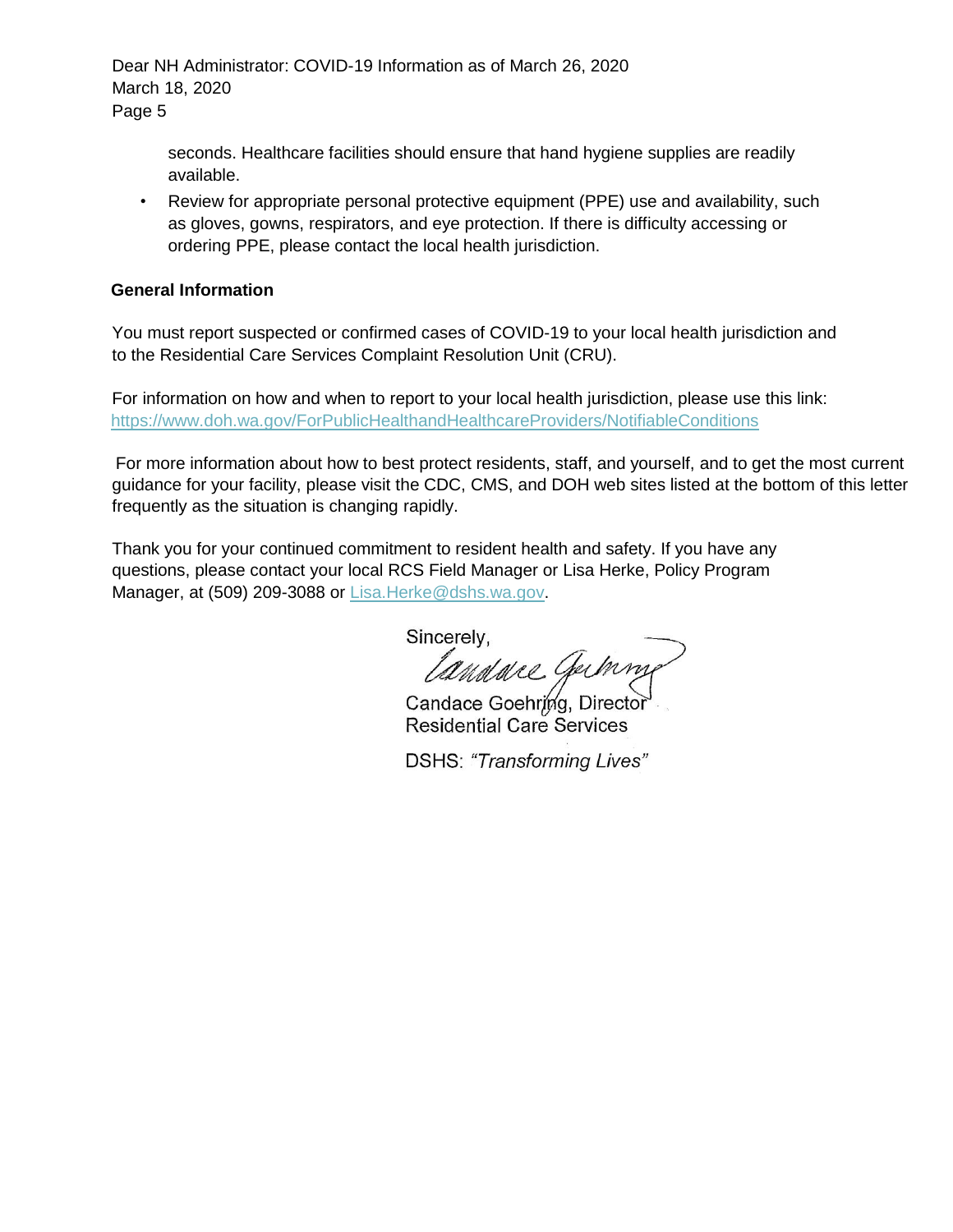> seconds. Healthcare facilities should ensure that hand hygiene supplies are readily available.

• Review for appropriate personal protective equipment (PPE) use and availability, such as gloves, gowns, respirators, and eye protection. If there is difficulty accessing or ordering PPE, please contact the local health jurisdiction.

#### **General Information**

You must report suspected or confirmed cases of COVID-19 to your local health jurisdiction and to the Residential Care Services Complaint Resolution Unit (CRU).

For information on how and when to report to your local health jurisdiction, please use this link: <https://www.doh.wa.gov/ForPublicHealthandHealthcareProviders/NotifiableConditions>

For more information about how to best protect residents, staff, and yourself, and to get the most current guidance for your facility, please visit the CDC, CMS, and DOH web sites listed at the bottom of this letter frequently as the situation is changing rapidly.

Thank you for your continued commitment to resident health and safety. If you have any questions, please contact your local RCS Field Manager or Lisa Herke, Policy Program Manager, at (509) 209-3088 or Lisa.Herke@dshs.wa.gov.

Sincerely.

*landure* Germin

**Residential Care Services** 

DSHS: "Transforming Lives"